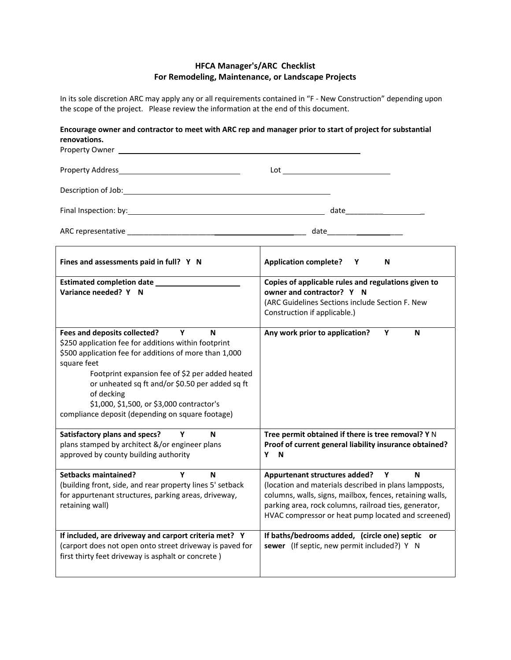# **HFCA Manager's/ARC Checklist For Remodeling, Maintenance, or Landscape Projects**

In its sole discretion ARC may apply any or all requirements contained in "F ‐ New Construction" depending upon the scope of the project. Please review the information at the end of this document.

| Encourage owner and contractor to meet with ARC rep and manager prior to start of project for substantial<br>renovations.<br>Property Owner 2008 and 2008 and 2008 and 2008 and 2008 and 2008 and 2008 and 2008 and 2008 and 2008 and 2008                                                                                                                                                                 |                                                                                                                                                                                                                                                                                    |  |
|------------------------------------------------------------------------------------------------------------------------------------------------------------------------------------------------------------------------------------------------------------------------------------------------------------------------------------------------------------------------------------------------------------|------------------------------------------------------------------------------------------------------------------------------------------------------------------------------------------------------------------------------------------------------------------------------------|--|
|                                                                                                                                                                                                                                                                                                                                                                                                            |                                                                                                                                                                                                                                                                                    |  |
|                                                                                                                                                                                                                                                                                                                                                                                                            |                                                                                                                                                                                                                                                                                    |  |
|                                                                                                                                                                                                                                                                                                                                                                                                            |                                                                                                                                                                                                                                                                                    |  |
|                                                                                                                                                                                                                                                                                                                                                                                                            |                                                                                                                                                                                                                                                                                    |  |
| Fines and assessments paid in full? Y N                                                                                                                                                                                                                                                                                                                                                                    | Application complete? Y<br>N                                                                                                                                                                                                                                                       |  |
| Variance needed? Y N                                                                                                                                                                                                                                                                                                                                                                                       | Copies of applicable rules and regulations given to<br>owner and contractor? Y N<br>(ARC Guidelines Sections include Section F. New<br>Construction if applicable.)                                                                                                                |  |
| <b>Fees and deposits collected?</b><br><b>Y</b><br>N<br>\$250 application fee for additions within footprint<br>\$500 application fee for additions of more than 1,000<br>square feet<br>Footprint expansion fee of \$2 per added heated<br>or unheated sq ft and/or \$0.50 per added sq ft<br>of decking<br>\$1,000, \$1,500, or \$3,000 contractor's<br>compliance deposit (depending on square footage) | Any work prior to application?<br>Y<br>N                                                                                                                                                                                                                                           |  |
| Satisfactory plans and specs?<br>N<br>Y<br>plans stamped by architect &/or engineer plans<br>approved by county building authority                                                                                                                                                                                                                                                                         | Tree permit obtained if there is tree removal? Y N<br>Proof of current general liability insurance obtained?<br>Y N                                                                                                                                                                |  |
| <b>Setbacks maintained?</b><br>N<br>Υ<br>(building front, side, and rear property lines 5' setback<br>for appurtenant structures, parking areas, driveway,<br>retaining wall)                                                                                                                                                                                                                              | <b>Appurtenant structures added?</b><br>N<br>Y<br>(location and materials described in plans lampposts,<br>columns, walls, signs, mailbox, fences, retaining walls,<br>parking area, rock columns, railroad ties, generator,<br>HVAC compressor or heat pump located and screened) |  |
| If included, are driveway and carport criteria met? Y<br>(carport does not open onto street driveway is paved for<br>first thirty feet driveway is asphalt or concrete)                                                                                                                                                                                                                                    | If baths/bedrooms added, (circle one) septic or<br>sewer (If septic, new permit included?) Y N                                                                                                                                                                                     |  |